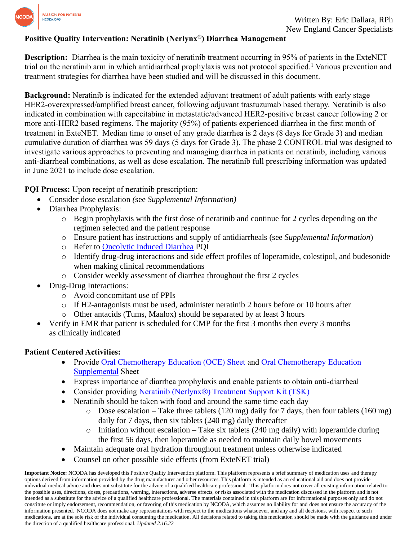

## **Positive Quality Intervention: Neratinib (Nerlynx**®**) Diarrhea Management**

**Description:** Diarrhea is the main toxicity of neratinib treatment occurring in 95% of patients in the ExteNET trial on the neratinib arm in which antidiarrheal prophylaxis was not protocol specified. <sup>1</sup> Various prevention and treatment strategies for diarrhea have been studied and will be discussed in this document.

**Background:** Neratinib is indicated for the extended adjuvant treatment of adult patients with early stage HER2-overexpressed/amplified breast cancer, following adjuvant trastuzumab based therapy. Neratinib is also indicated in combination with capecitabine in metastatic/advanced HER2-positive breast cancer following 2 or more anti-HER2 based regimens. The majority (95%) of patients experienced diarrhea in the first month of treatment in ExteNET. Median time to onset of any grade diarrhea is 2 days (8 days for Grade 3) and median cumulative duration of diarrhea was 59 days (5 days for Grade 3). The phase 2 CONTROL trial was designed to investigate various approaches to preventing and managing diarrhea in patients on neratinib, including various anti-diarrheal combinations, as well as dose escalation. The neratinib full prescribing information was updated in June 2021 to include dose escalation.

**PQI Process:** Upon receipt of neratinib prescription:

- Consider dose escalation *(*see *Supplemental Information)*
- Diarrhea Prophylaxis:
	- o Begin prophylaxis with the first dose of neratinib and continue for 2 cycles depending on the regimen selected and the patient response
	- o Ensure patient has instructions and supply of antidiarrheals (see *Supplemental Information*)
	- o Refer to [Oncolytic Induced Diarrhea](https://www.ncoda.org/wp-content/uploads/pqis/Oncolytic-Induced-Diarrhea_PQI_NCODA.pdf) PQI
	- o Identify drug-drug interactions and side effect profiles of loperamide, colestipol, and budesonide when making clinical recommendations
	- o Consider weekly assessment of diarrhea throughout the first 2 cycles
- Drug-Drug Interactions:
	- o Avoid concomitant use of PPIs
	- o If H2-antagonists must be used, administer neratinib 2 hours before or 10 hours after
	- o Other antacids (Tums, Maalox) should be separated by at least 3 hours
- Verify in EMR that patient is scheduled for CMP for the first 3 months then every 3 months as clinically indicated

# **Patient Centered Activities:**

- Provide [Oral Chemotherapy Education \(OCE\) Sheet](https://www.oralchemoedsheets.com/index.php/sheet-library/24-available/generic/324-neratinib) and Oral Chemotherapy Education [Supplemental](https://www.oralchemoedsheets.com/index.php/supplement-library/27-supplemental-available/497-diarrhea) Sheet
- Express importance of diarrhea prophylaxis and enable patients to obtain anti-diarrheal
- Consider providing [Neratinib \(Nerlynx®\) Treatment Support Kit \(TSK\)](https://www.surveymonkey.com/r/5P9XHMN)
- Neratinib should be taken with food and around the same time each day
	- $\circ$  Dose escalation Take three tablets (120 mg) daily for 7 days, then four tablets (160 mg) daily for 7 days, then six tablets (240 mg) daily thereafter
	- $\circ$  Initiation without escalation Take six tablets (240 mg daily) with loperamide during the first 56 days, then loperamide as needed to maintain daily bowel movements
- Maintain adequate oral hydration throughout treatment unless otherwise indicated
- Counsel on other possible side effects (from ExteNET trial)

**Important Notice:** NCODA has developed this Positive Quality Intervention platform. This platform represents a brief summary of medication uses and therapy options derived from information provided by the drug manufacturer and other resources. This platform is intended as an educational aid and does not provide individual medical advice and does not substitute for the advice of a qualified healthcare professional. This platform does not cover all existing information related to the possible uses, directions, doses, precautions, warning, interactions, adverse effects, or risks associated with the medication discussed in the platform and is not intended as a substitute for the advice of a qualified healthcare professional. The materials contained in this platform are for informational purposes only and do not constitute or imply endorsement, recommendation, or favoring of this medication by NCODA, which assumes no liability for and does not ensure the accuracy of the information presented. NCODA does not make any representations with respect to the medications whatsoever, and any and all decisions, with respect to such medications, are at the sole risk of the individual consuming the medication. All decisions related to taking this medication should be made with the guidance and under the direction of a qualified healthcare professional. *Updated 2.16.22*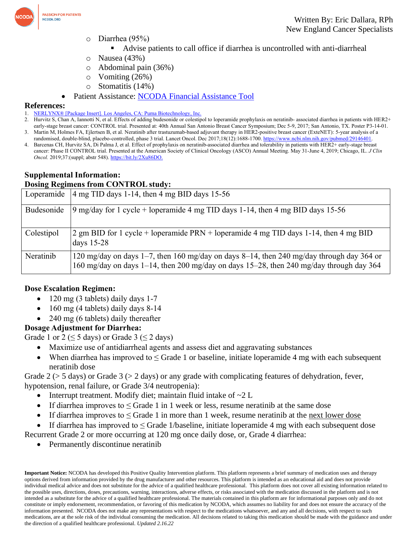

- o Diarrhea (95%)
	- Advise patients to call office if diarrhea is uncontrolled with anti-diarrheal
- o Nausea (43%)
- o Abdominal pain (36%)
- $\circ$  Vomiting (26%)
- o Stomatitis (14%)
- Patient Assistance: [NCODA Financial Assistance Tool](https://www.ncoda.org/financial-assistance/)

#### **References:**

- 1. NERLYNX® [Package Insert]. Los Angeles, CA: Puma [Biotechnology,](https://www.accessdata.fda.gov/drugsatfda_docs/label/2017/208051s000lbl.pdf) Inc.
- 2. Hurvitz S, Chan A, Iannotti N, et al. Effects of adding budesonide or colestipol to loperamide prophylaxis on neratinib- associated diarrhea in patients with HER2+ early-stage breast cancer: CONTROL trial. Presented at: 40th Annual San Antonio Breast Cancer Symposium; Dec 5-9, 2017; San Antonio, TX. Poster P3-14-01. 3. Martin M, Holmes FA, Ejlertsen B, et al. Neratinib after trastuzumab-based adjuvant therapy in HER2-positive breast cancer (ExteNET): 5-year analysis of a
- randomised, double-blind, placebo-controlled, phase 3 trial. Lancet Oncol. Dec 2017;18(12):1688-1700. [https://www.ncbi.nlm.nih.gov/pubmed/29146401.](https://www.ncbi.nlm.nih.gov/pubmed/29146401) 4. Barcenas CH, Hurvitz SA, Di Palma J, et al. Effect of prophylaxis on neratinib-associated diarrhea and tolerability in patients with HER2+ early-stage breast cancer: Phase II CONTROL trial. Presented at the American Society of Clinical Oncology (ASCO) Annual Meeting. May 31-June 4, 2019; Chicago, IL. *J Clin Oncol.* 2019;37:(suppl; abstr 548). [https://bit.ly/2Xu86DO.](https://bit.ly/2Xu86DO)

## **Supplemental Information:**

## **Dosing Regimens from CONTROL study:**

| Loperamide | $4 \text{ mg TID days}$ 1-14, then $4 \text{ mg BID days}$ 15-56                                                                                                                    |
|------------|-------------------------------------------------------------------------------------------------------------------------------------------------------------------------------------|
| Budesonide | 9 mg/day for 1 cycle + loperamide 4 mg TID days 1-14, then 4 mg BID days 15-56                                                                                                      |
| Colestipol | 2 gm BID for 1 cycle + loperamide $PRN$ + loperamide 4 mg TID days 1-14, then 4 mg BID<br>days $15-28$                                                                              |
| Neratinib  | 120 mg/day on days 1–7, then 160 mg/day on days 8–14, then 240 mg/day through day 364 or<br>160 mg/day on days 1–14, then 200 mg/day on days 15–28, then 240 mg/day through day 364 |

#### **Dose Escalation Regimen:**

- 120 mg (3 tablets) daily days 1-7
- $\bullet$  160 mg (4 tablets) daily days 8-14
- 240 mg (6 tablets) daily thereafter

#### **Dosage Adjustment for Diarrhea:**

Grade 1 or 2 ( $\leq$  5 days) or Grade 3 ( $\leq$  2 days)

- Maximize use of antidiarrheal agents and assess diet and aggravating substances
- When diarrhea has improved to  $\leq$  Grade 1 or baseline, initiate loperamide 4 mg with each subsequent neratinib dose

Grade 2 ( $>$  5 days) or Grade 3 ( $>$  2 days) or any grade with complicating features of dehydration, fever, hypotension, renal failure, or Grade 3/4 neutropenia):

- Interrupt treatment. Modify diet; maintain fluid intake of  $\sim$ 2 L
- If diarrhea improves to  $\leq$  Grade 1 in 1 week or less, resume neratinib at the same dose
- If diarrhea improves to  $\leq$  Grade 1 in more than 1 week, resume neratinib at the <u>next lower dose</u>
- If diarrhea has improved to < Grade 1/baseline, initiate loperamide 4 mg with each subsequent dose

Recurrent Grade 2 or more occurring at 120 mg once daily dose, or, Grade 4 diarrhea:

• Permanently discontinue neratinib

**Important Notice:** NCODA has developed this Positive Quality Intervention platform. This platform represents a brief summary of medication uses and therapy options derived from information provided by the drug manufacturer and other resources. This platform is intended as an educational aid and does not provide individual medical advice and does not substitute for the advice of a qualified healthcare professional. This platform does not cover all existing information related to the possible uses, directions, doses, precautions, warning, interactions, adverse effects, or risks associated with the medication discussed in the platform and is not intended as a substitute for the advice of a qualified healthcare professional. The materials contained in this platform are for informational purposes only and do not constitute or imply endorsement, recommendation, or favoring of this medication by NCODA, which assumes no liability for and does not ensure the accuracy of the information presented. NCODA does not make any representations with respect to the medications whatsoever, and any and all decisions, with respect to such medications, are at the sole risk of the individual consuming the medication. All decisions related to taking this medication should be made with the guidance and under the direction of a qualified healthcare professional. *Updated 2.16.22*